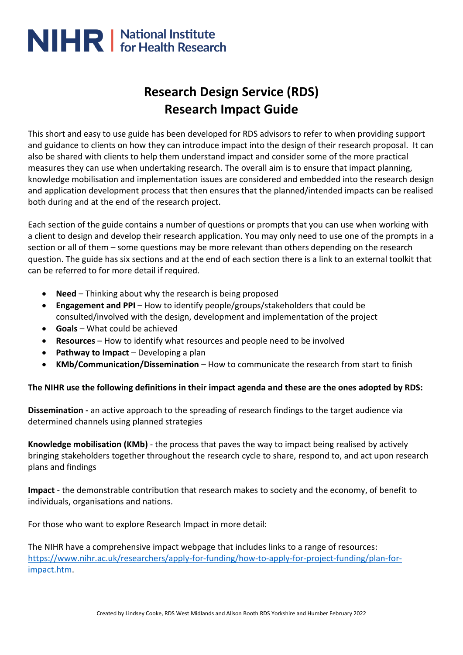## NIHR | National Institute

## **Research Design Service (RDS) Research Impact Guide**

This short and easy to use guide has been developed for RDS advisors to refer to when providing support and guidance to clients on how they can introduce impact into the design of their research proposal. It can also be shared with clients to help them understand impact and consider some of the more practical measures they can use when undertaking research. The overall aim is to ensure that impact planning, knowledge mobilisation and implementation issues are considered and embedded into the research design and application development process that then ensures that the planned/intended impacts can be realised both during and at the end of the research project.

Each section of the guide contains a number of questions or prompts that you can use when working with a client to design and develop their research application. You may only need to use one of the prompts in a section or all of them – some questions may be more relevant than others depending on the research question. The guide has six sections and at the end of each section there is a link to an external toolkit that can be referred to for more detail if required.

- **Need** Thinking about why the research is being proposed
- **Engagement and PPI** How to identify people/groups/stakeholders that could be consulted/involved with the design, development and implementation of the project
- **Goals** What could be achieved
- **Resources**  How to identify what resources and people need to be involved
- **Pathway to Impact** Developing a plan
- **KMb/Communication/Dissemination** How to communicate the research from start to finish

## **The NIHR use the following definitions in their impact agenda and these are the ones adopted by RDS:**

**Dissemination -** an active approach to the spreading of research findings to the target audience via determined channels using planned strategies

**Knowledge mobilisation (KMb)** - the process that paves the way to impact being realised by actively bringing stakeholders together throughout the research cycle to share, respond to, and act upon research plans and findings

**Impact** - the demonstrable contribution that research makes to society and the economy, of benefit to individuals, organisations and nations.

For those who want to explore Research Impact in more detail:

The NIHR have a comprehensive impact webpage that includes links to a range of resources: [https://www.nihr.ac.uk/researchers/apply-for-funding/how-to-apply-for-project-funding/plan-for](https://www.nihr.ac.uk/researchers/apply-for-funding/how-to-apply-for-project-funding/plan-for-impact.htm)[impact.htm.](https://www.nihr.ac.uk/researchers/apply-for-funding/how-to-apply-for-project-funding/plan-for-impact.htm)